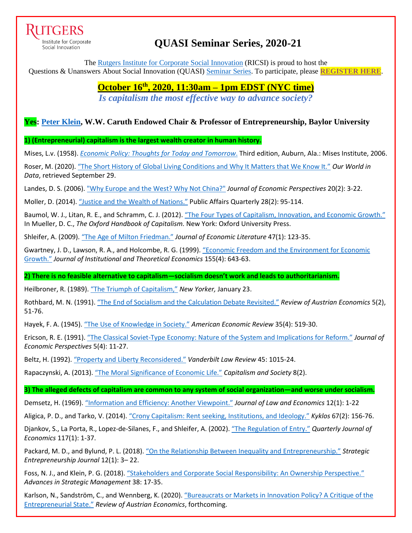

Institute for Corporate Social Innovation

# **QUASI Seminar Series, 2020-21**

The [Rutgers Institute for Corporate Social Innovation](https://www.business.rutgers.edu/ricsi) (RICSI) is proud to host the Questions & Unanswers About Social Innovation (QUASI) [Seminar Series.](https://www.business.rutgers.edu/sites/default/files/documents/ricsi-quasi-seminar-series.pdf) To participate, please **[REGISTER HERE](https://docs.google.com/forms/d/e/1FAIpQLSf4hJca5uxhRVsn9Qsz04ntaLGkhpUyGeE-anrzh_jHBObOPQ/viewform)**.

> **October 16th , 2020, 11:30am – 1pm EDST (NYC time)** *Is capitalism the most effective way to advance society?*

# **Yes: [Peter Klein,](https://sites.baylor.edu/peter_klein/) W.W. Caruth Endowed Chair & Professor of Entrepreneurship, Baylor University**

**1) (Entrepreneurial) capitalism is the largest wealth creator in human history.**

Mises, L.v. (1958). *[Economic Policy: Thoughts for Today and Tomorrow](https://mises.org/library/economic-policy-thoughts-today-and-tomorrow)*. Third edition, Auburn, Ala.: Mises Institute, 2006.

Roser, M. (2020). ["The Short History of Global Living Conditions and Why It Matters that We Know It."](https://ourworldindata.org/a-history-of-global-living-conditions-in-5-charts) *Our World in Data*, retrieved September 29.

Landes, D. S. (2006). ["Why Europe and the West? Why Not China?"](https://www.aeaweb.org/articles?id=10.1257/jep.20.2.3) *Journal of Economic Perspectives* 20(2): 3-22.

Moller, D. (2014). ["Justice and the Wealth of Nations."](https://www.jstor.org/stable/43575590) Public Affairs Quarterly 28(2): 95-114.

Baumol, W. J., Litan, R. E., and Schramm, C. J. (2012). "The Four Types of Capitalism, [Innovation, and Economic Growth."](https://www.oxfordhandbooks.com/view/10.1093/oxfordhb/9780195391176.001.0001/oxfordhb-9780195391176-e-5) In Mueller, D. C., *The Oxford Handbook of Capitalism.* New York: Oxford University Press.

Shleifer, A. (2009). ["The Age of Milton Friedman."](https://www.aeaweb.org/articles?id=10.1257/jel.47.1.123) *Journal of Economic Literature* 47(1): 123-35.

Gwartney, J. D., Lawson, R. A., and Holcombe, R. G. (1999). ["Economic Freedom and the Environment for Economic](https://www.jstor.org/stable/40752161)  [Growth."](https://www.jstor.org/stable/40752161) *Journal of Institutional and Theoretical Economics* 155(4): 643-63.

**2) There is no feasible alternative to capitalism—socialism doesn't work and leads to authoritarianism.**

Heilbroner, R. (1989). ["The Triumph of Capitalism,"](https://www.newyorker.com/magazine/1989/01/23/the-triumph-of-capitalism) *New Yorker,* January 23.

Rothbard, M. N. (1991). ["The End of Socialism and the Calculation Debate Revisited."](https://cdn.mises.org/rae5_2_3_2.pdf) *Review of Austrian Economics* 5(2), 51-76.

Hayek, F. A. (1945). ["The Use of Knowledge in Society."](https://www.jstor.org/stable/1809376) *American Economic Review* 35(4): 519-30.

Ericson, R. E. (1991). "The Classical Soviet-[Type Economy: Nature of the System and Implications for Reform."](https://www.aeaweb.org/articles?id=10.1257/jep.5.4.11) *Journal of Economic Perspectives* 5(4): 11-27.

Beltz, H. (1992). ["Property and Liberty Reconsidered."](https://heinonline.org/HOL/Page?handle=hein.journals/vanlr45&div=43&g_sent=1&casa_token=X9mL-1BpNVAAAAAA:2SLrA5M8CUcihTBbo1gkUaRPvql2XPr9RqaoPicAZ3Je1Pyjc5rj6HxFpH_vNuvhgGEOzBqb&collection=journals) *Vanderbilt Law Review* 45: 1015-24.

Rapaczynski, A. (2013). ["The Moral Significance of Economic Life."](https://scholarship.law.columbia.edu/cgi/viewcontent.cgi?article=2837&context=faculty_scholarship) *Capitalism and Society* 8(2).

**3) The alleged defects of capitalism are common to any system of social organization—and worse under socialism.**

Demsetz, H. (1969). ["Information and Efficiency: Another Viewpoint."](https://www.jstor.org/stable/724977) *Journal of Law and Economics* 12(1): 1-22

Aligica, P. D., and Tarko, V. (2014). ["Crony Capitalism: Rent seeking, Institutions, and Ideology."](https://onlinelibrary.wiley.com/doi/abs/10.1111/kykl.12048) *Kyklos* 67(2): 156-76.

Djankov, S., La Porta, R., Lopez-de-Silanes, F., and Shleifer, A. (2002). ["The Regulation of Entry."](https://academic.oup.com/qje/article-abstract/117/1/1/1851750) *Quarterly Journal of Economics* 117(1): 1-37.

Packard, M. D., and Bylund, P. L. (2018). ["On the Relationship Between Inequality and Entrepreneurship."](https://onlinelibrary.wiley.com/doi/abs/10.1002/sej.1270) *Strategic Entrepreneurship Journal* 12(1): 3– 22.

Foss, N. J., and Klein, P. G. (2018). ["Stakeholders and Corporate Social Responsibility: An Ownership Perspective."](https://sites.baylor.edu/peter_klein/files/2019/06/S0742-332220180000038005.pdf) *Advances in Strategic Management* 38: 17-35.

Karlson, N., Sandström, C., and Wennberg, K. (2020). ["Bureaucrats or Markets in Innovation Policy? A Critique of the](https://link.springer.com/article/10.1007/s11138-020-00508-7)  [Entrepreneurial State."](https://link.springer.com/article/10.1007/s11138-020-00508-7) *Review of Austrian Economics*, forthcoming.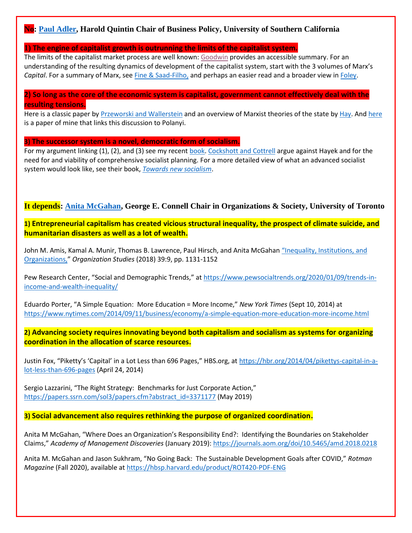## **No: [Paul Adler,](https://www.marshall.usc.edu/personnel/paul-adler) Harold Quintin Chair of Business Policy, University of Southern California**

#### **1) The engine of capitalist growth is outrunning the limits of the capitalist system.**

The limits of the capitalist market process are well known[: Goodwin](https://nam02.safelinks.protection.outlook.com/?url=https%3A%2F%2Furldefense.com%2Fv3%2F__https%3A%2F%2Fnam02.safelinks.protection.outlook.com%2F%3Furl%3Dhttps*3A*2F*2Fwww.dropbox.com*2Fs*2Frgqmeh4mjqo8up2*2FGoodwin-Limitations*2520of*2520markets.pdf*3Fdl*3D0%26data%3D02*7C01*7Cmbarnett*40business.rutgers.edu*7Ca50b607cbb274dacab9008d865785ae8*7Cb92d2b234d35447093ff69aca6632ffe*7C1*7C1*7C637370914906564188%26sdata%3DbLuxryL*2FTxOZ8dBxiKwdimmkhcywQw3fBdIWrYFlhn0*3D%26reserved%3D0__%3BJSUlJSUlJSUlJSUlJSUlJSUlJSU!!LIr3w8kk_Xxm!6YNT9MVuALIjRbB0CFbxNnBNGWdD7DjKvI_oe_oyyZnxBx6Ri1SaUDkZP9tnNUUkAjuZ%24&data=02%7C01%7Cmbarnett%40business.rutgers.edu%7C37819e191a25493a3b6c08d8657b57e4%7Cb92d2b234d35447093ff69aca6632ffe%7C1%7C1%7C637370927735482942&sdata=b4uLs0Gg%2B%2FvBXdNfdi2XIW7%2BQDzXjDrV7byiHLtTGsM%3D&reserved=0) provides an accessible summary. For an understanding of the resulting dynamics of development of the capitalist system, start with the 3 volumes of Marx's *Capital*. For a summary of Marx, see [Fine & Saad-Filho,](https://nam02.safelinks.protection.outlook.com/?url=https%3A%2F%2Furldefense.com%2Fv3%2F__https%3A%2F%2Fnam02.safelinks.protection.outlook.com%2F%3Furl%3Dhttps*3A*2F*2Fwww.dropbox.com*2Fs*2F82ye5sp5e7c455t*2Fben-fine-marxs-capital-6th-edition*2520*25281*2529.pdf*3Fdl*3D0%26data%3D02*7C01*7Cmbarnett*40business.rutgers.edu*7Ca50b607cbb274dacab9008d865785ae8*7Cb92d2b234d35447093ff69aca6632ffe*7C1*7C1*7C637370914906554192%26sdata%3DxBtUmulKe3TslshlWPpkQkP5h6*2FcXYW*2BofBpd1AF8Ks*3D%26reserved%3D0__%3BJSUlJSUlJSUlJSUlJSUlJSUlJSUlJQ!!LIr3w8kk_Xxm!6YNT9MVuALIjRbB0CFbxNnBNGWdD7DjKvI_oe_oyyZnxBx6Ri1SaUDkZP9tnNeSIogB9%24&data=02%7C01%7Cmbarnett%40business.rutgers.edu%7C37819e191a25493a3b6c08d8657b57e4%7Cb92d2b234d35447093ff69aca6632ffe%7C1%7C0%7C637370927735492934&sdata=9XIm1bajyyOwsIgiDp0RMmUgd64My7gxzRcuTNC7Yic%3D&reserved=0) and perhaps an easier read and a broader view in [Foley.](https://nam02.safelinks.protection.outlook.com/?url=https%3A%2F%2Furldefense.com%2Fv3%2F__https%3A%2F%2Fnam02.safelinks.protection.outlook.com%2F%3Furl%3Dhttps*3A*2F*2Fwww.dropbox.com*2Fs*2Fr8z689huw26lmss*2FFoley*2520-*2520Adam*2527s*2520fallacy.pdf*3Fdl*3D0%26data%3D02*7C01*7Cmbarnett*40business.rutgers.edu*7Ca50b607cbb274dacab9008d865785ae8*7Cb92d2b234d35447093ff69aca6632ffe*7C1*7C1*7C637370914906554192%26sdata%3DuYZQxNqcolZYHpUSDvqTpe630TbcTGSNQlMTbA*2BCiP4*3D%26reserved%3D0__%3BJSUlJSUlJSUlJSUlJSUlJSUlJSUlJQ!!LIr3w8kk_Xxm!6YNT9MVuALIjRbB0CFbxNnBNGWdD7DjKvI_oe_oyyZnxBx6Ri1SaUDkZP9tnNXKbeFvx%24&data=02%7C01%7Cmbarnett%40business.rutgers.edu%7C37819e191a25493a3b6c08d8657b57e4%7Cb92d2b234d35447093ff69aca6632ffe%7C1%7C0%7C637370927735492934&sdata=9ItKfW6At8muvlrlvcQvuMMOXoGt6MCgneZCAoCs0qY%3D&reserved=0)

#### **2) So long as the core of the economic system is capitalist, government cannot effectively deal with the resulting tensions.**

Here is a classic paper by [Przeworski and Wallerstein](https://nam02.safelinks.protection.outlook.com/?url=https%3A%2F%2Furldefense.com%2Fv3%2F__https%3A%2F%2Fnam02.safelinks.protection.outlook.com%2F%3Furl%3Dhttps*3A*2F*2Fwww.dropbox.com*2Fs*2Fhoamejygzlvv2fr*2FPrzeworski*2520and*2520Wallerstein*2520-*2520Structural*2520dependence.pdf*3Fdl*3D0%26data%3D02*7C01*7Cmbarnett*40business.rutgers.edu*7Ca50b607cbb274dacab9008d865785ae8*7Cb92d2b234d35447093ff69aca6632ffe*7C1*7C1*7C637370914906594173%26sdata%3DR1R8czSPdBd7YznNXHPdpks6gCgACJxw*2B*2BLBYCnp6mg*3D%26reserved%3D0__%3BJSUlJSUlJSUlJSUlJSUlJSUlJSUlJSUl!!LIr3w8kk_Xxm!6YNT9MVuALIjRbB0CFbxNnBNGWdD7DjKvI_oe_oyyZnxBx6Ri1SaUDkZP9tnNTYNnZcL%24&data=02%7C01%7Cmbarnett%40business.rutgers.edu%7C37819e191a25493a3b6c08d8657b57e4%7Cb92d2b234d35447093ff69aca6632ffe%7C1%7C1%7C637370927735502928&sdata=VpAEMBjP5NK3KiCAJGs4OV58zxopQWqsyNrrb8STSbI%3D&reserved=0) and an overview of Marxist theories of the state b[y Hay.](https://nam02.safelinks.protection.outlook.com/?url=https%3A%2F%2Furldefense.com%2Fv3%2F__https%3A%2F%2Fnam02.safelinks.protection.outlook.com%2F%3Furl%3Dhttps*3A*2F*2Fwww.dropbox.com*2Fs*2Fjuj04u9z925yi8h*2FMarxism*2520and*2520the*2520State.pdf*3Fdl*3D0%26data%3D02*7C01*7Cmbarnett*40business.rutgers.edu*7Ca50b607cbb274dacab9008d865785ae8*7Cb92d2b234d35447093ff69aca6632ffe*7C1*7C1*7C637370914906604164%26sdata%3DgEsOmiR1UZ9tqR5FXZJsjZDdPhvIufsDtZQ*2F3E0Uv1c*3D%26reserved%3D0__%3BJSUlJSUlJSUlJSUlJSUlJSUlJSUl!!LIr3w8kk_Xxm!6YNT9MVuALIjRbB0CFbxNnBNGWdD7DjKvI_oe_oyyZnxBx6Ri1SaUDkZP9tnNWJTSc4Y%24&data=02%7C01%7Cmbarnett%40business.rutgers.edu%7C37819e191a25493a3b6c08d8657b57e4%7Cb92d2b234d35447093ff69aca6632ffe%7C1%7C1%7C637370927735512923&sdata=UBF5bkHgX5dGb7Bf3xIt5GRt7Fj8ID3rZ08M9skZzz8%3D&reserved=0) An[d here](https://www.dropbox.com/s/agpd2s4nf67837v/Klein%20v%20Polanyi%20ASQ.pdf?dl=0) is a paper of mine that links this discussion to Polanyi.

#### **3) The successor system is a novel, democratic form of socialism.**

For my argument linking (1), (2), and (3) see my recent [book.](https://www.amazon.com/Percent-Economy-Democratic-Capitalism-Management/dp/0190931884/ref=sr_1_1?dchild=1&keywords=adler+99&qid=1601677192&sr=8-1) Cockshott [and Cottrell](https://nam02.safelinks.protection.outlook.com/?url=https%3A%2F%2Furldefense.com%2Fv3%2F__https%3A%2F%2Fnam02.safelinks.protection.outlook.com%2F%3Furl%3Dhttps*3A*2F*2Fwww.dropbox.com*2Fs*2Fno63ojftnzh1wru*2FCockshott*2520and*2520Cottrell*2520--*2520hayek_critique.pdf*3Fdl*3D0%26data%3D02*7C01*7Cmbarnett*40business.rutgers.edu*7Ca50b607cbb274dacab9008d865785ae8*7Cb92d2b234d35447093ff69aca6632ffe*7C1*7C1*7C637370914906584173%26sdata%3Dv77PPV0nnTUou7Kig3StKowyus*2BrpTjb*2BguTUBKGcHY*3D%26reserved%3D0__%3BJSUlJSUlJSUlJSUlJSUlJSUlJSUlJSU!!LIr3w8kk_Xxm!6YNT9MVuALIjRbB0CFbxNnBNGWdD7DjKvI_oe_oyyZnxBx6Ri1SaUDkZP9tnNeIn0dIf%24&data=02%7C01%7Cmbarnett%40business.rutgers.edu%7C37819e191a25493a3b6c08d8657b57e4%7Cb92d2b234d35447093ff69aca6632ffe%7C1%7C1%7C637370927735512923&sdata=BpzJFoQBbY9B9j1OtB6wd1zl2pxtgtsy430KKcYYG7k%3D&reserved=0) argue against Hayek and for the need for and viability of comprehensive socialist planning. For a more detailed view of what an advanced socialist system would look like, see their book, *[Towards new socialism](https://nam02.safelinks.protection.outlook.com/?url=https%3A%2F%2Furldefense.com%2Fv3%2F__https%3A%2F%2Fnam02.safelinks.protection.outlook.com%2F%3Furl%3Dhttps*3A*2F*2Fwww.dropbox.com*2Fs*2Fjna59p2g8fji1hx*2FCockshott*2520and*2520Cottrell*2520-*2520new_socialism*2520copy.pdf*3Fdl*3D0%26data%3D02*7C01*7Cmbarnett*40business.rutgers.edu*7Ca50b607cbb274dacab9008d865785ae8*7Cb92d2b234d35447093ff69aca6632ffe*7C1*7C1*7C637370914906584173%26sdata%3DBaQ33WNgNPOTRZ8TsAgaeXoJ09KpTrVqDshZ*2FItfvLQ*3D%26reserved%3D0__%3BJSUlJSUlJSUlJSUlJSUlJSUlJSUlJSU!!LIr3w8kk_Xxm!6YNT9MVuALIjRbB0CFbxNnBNGWdD7DjKvI_oe_oyyZnxBx6Ri1SaUDkZP9tnNWPHxexC%24&data=02%7C01%7Cmbarnett%40business.rutgers.edu%7C37819e191a25493a3b6c08d8657b57e4%7Cb92d2b234d35447093ff69aca6632ffe%7C1%7C1%7C637370927735522917&sdata=qlSRlSeFXE44xOczYjiFTEprwE8wTByjnhc%2F1%2Bcbk2U%3D&reserved=0)*.

#### **It depends: [Anita McGahan,](https://www.rotman.utoronto.ca/FacultyAndResearch/Faculty/FacultyBios/McGahan.aspx) George E. Connell Chair in Organizations & Society, University of Toronto**

**1) Entrepreneurial capitalism has created vicious structural inequality, the prospect of climate suicide, and humanitarian disasters as well as a lot of wealth.**

John M. Amis, Kamal A. Munir, Thomas B. Lawrence, Paul Hirsch, and Anita McGahan "Inequality, Institutions, and [Organizations,](https://journals.sagepub.com/doi/pdf/10.1177/0170840618792596?casa_token=XXlEduq1wIgAAAAA:zOKy7Q3db3nzCWTvNW-VG4oAcg94oGRg0BnxHcEUQXw16uQdpN5f1Zi6QF36KRY9d7Mk-VCyQRfayQ)" *Organization Studies* (2018) 39:9, pp. 1131-1152

Pew Research Center, "Social and Demographic Trends," at [https://www.pewsocialtrends.org/2020/01/09/trends-in](https://www.pewsocialtrends.org/2020/01/09/trends-in-income-and-wealth-inequality/)[income-and-wealth-inequality/](https://www.pewsocialtrends.org/2020/01/09/trends-in-income-and-wealth-inequality/)

Eduardo Porter, "A Simple Equation: More Education = More Income," *New York Times* (Sept 10, 2014) at <https://www.nytimes.com/2014/09/11/business/economy/a-simple-equation-more-education-more-income.html>

**2) Advancing society requires innovating beyond both capitalism and socialism as systems for organizing coordination in the allocation of scarce resources.**

Justin Fox, "Piketty's 'Capital' in a Lot Less than 696 Pages," HBS.org, at [https://hbr.org/2014/04/pikettys-capital-in-a](https://hbr.org/2014/04/pikettys-capital-in-a-lot-less-than-696-pages)[lot-less-than-696-pages](https://hbr.org/2014/04/pikettys-capital-in-a-lot-less-than-696-pages) (April 24, 2014)

Sergio Lazzarini, "The Right Strategy: Benchmarks for Just Corporate Action," [https://papers.ssrn.com/sol3/papers.cfm?abstract\\_id=3371177](https://papers.ssrn.com/sol3/papers.cfm?abstract_id=3371177) (May 2019)

**3) Social advancement also requires rethinking the purpose of organized coordination.**

Anita M McGahan, "Where Does an Organization's Responsibility End?: Identifying the Boundaries on Stakeholder Claims," *Academy of Management Discoveries* (January 2019): <https://journals.aom.org/doi/10.5465/amd.2018.0218>

Anita M. McGahan and Jason Sukhram, "No Going Back: The Sustainable Development Goals after COVID," *Rotman Magazine* (Fall 2020), available at<https://hbsp.harvard.edu/product/ROT420-PDF-ENG>